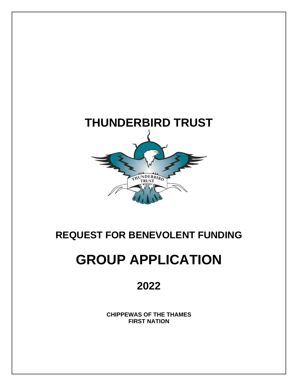

# **REQUEST FOR BENEVOLENT FUNDING**

# **GROUP APPLICATION**

# **2022**

**CHIPPEWAS OF THE THAMES FIRST NATION**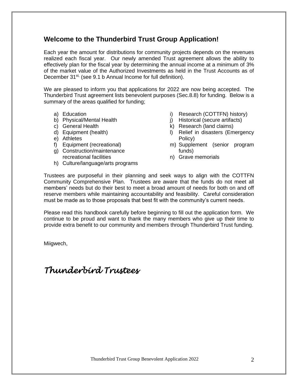#### **Welcome to the Thunderbird Trust Group Application!**

Each year the amount for distributions for community projects depends on the revenues realized each fiscal year. Our newly amended Trust agreement allows the ability to effectively plan for the fiscal year by determining the annual income at a minimum of 3% of the market value of the Authorized Investments as held in the Trust Accounts as of December 31<sup>st,</sup> (see 9.1 b Annual Income for full definition).

We are pleased to inform you that applications for 2022 are now being accepted. The Thunderbird Trust agreement lists benevolent purposes (Sec.8.8) for funding. Below is a summary of the areas qualified for funding;

- a) Education
- b) Physical/Mental Health
- c) General Health
- d) Equipment (health)
- e) Athletes
- f) Equipment (recreational)
- g) Construction/maintenance
- recreational facilities
- h) Culture/language/arts programs
- i) Research (COTTFN) history)
- j) Historical (secure artifacts)
- $k$ ) Research (land claims)
- l) Relief in disasters (Emergency Policy)
- m) Supplement (senior program funds)
- n) Grave memorials

Trustees are purposeful in their planning and seek ways to align with the COTTFN Community Comprehensive Plan. Trustees are aware that the funds do not meet all members' needs but do their best to meet a broad amount of needs for both on and off reserve members while maintaining accountability and feasibility. Careful consideration must be made as to those proposals that best fit with the community's current needs.

Please read this handbook carefully before beginning to fill out the application form. We continue to be proud and want to thank the many members who give up their time to provide extra benefit to our community and members through Thunderbird Trust funding.

Miigwech,

*Thunderbird Trustees*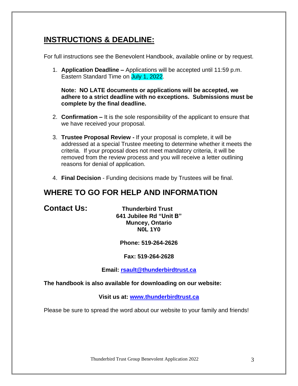# **INSTRUCTIONS & DEADLINE:**

For full instructions see the Benevolent Handbook, available online or by request.

1. **Application Deadline –** Applications will be accepted until 11:59 p.m. Eastern Standard Time on July 1, 2022.

**Note: NO LATE documents or applications will be accepted, we adhere to a strict deadline with no exceptions. Submissions must be complete by the final deadline.**

- 2. **Confirmation –** It is the sole responsibility of the applicant to ensure that we have received your proposal.
- 3. **Trustee Proposal Review -** If your proposal is complete, it will be addressed at a special Trustee meeting to determine whether it meets the criteria. If your proposal does not meet mandatory criteria, it will be removed from the review process and you will receive a letter outlining reasons for denial of application.
- 4. **Final Decision** Funding decisions made by Trustees will be final.

### **WHERE TO GO FOR HELP AND INFORMATION**

**Contact Us: Thunderbird Trust 641 Jubilee Rd "Unit B" Muncey, Ontario N0L 1Y0**

**Phone: 519-264-2626**

#### **Fax: 519-264-2628**

**Email: [rsault@thunderbirdtrust.ca](mailto:rsault@thunderbirdtrust.ca)**

#### **The handbook is also available for downloading on our website:**

**Visit us at: [www.thunderbirdtrust.ca](http://www.thunderbirdtrust.ca/)**

Please be sure to spread the word about our website to your family and friends!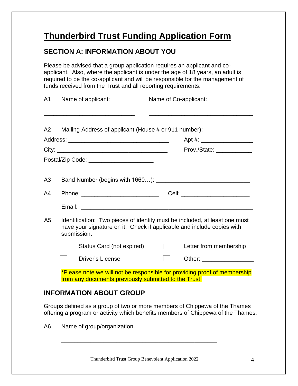# **Thunderbird Trust Funding Application Form**

#### **SECTION A: INFORMATION ABOUT YOU**

Please be advised that a group application requires an applicant and coapplicant. Also, where the applicant is under the age of 18 years, an adult is required to be the co-applicant and will be responsible for the management of funds received from the Trust and all reporting requirements.

| A1   |                                                                                                                                                                     | Name of applicant:                                    | Name of Co-applicant: |                                                                           |
|------|---------------------------------------------------------------------------------------------------------------------------------------------------------------------|-------------------------------------------------------|-----------------------|---------------------------------------------------------------------------|
| A2 a |                                                                                                                                                                     | Mailing Address of applicant (House # or 911 number): |                       |                                                                           |
|      |                                                                                                                                                                     |                                                       |                       |                                                                           |
|      |                                                                                                                                                                     |                                                       |                       | Prov./State: _____________                                                |
|      |                                                                                                                                                                     | Postal/Zip Code: ________________________             |                       |                                                                           |
| A3   |                                                                                                                                                                     |                                                       |                       |                                                                           |
| A4   |                                                                                                                                                                     | Phone: ___________________________________            |                       |                                                                           |
|      |                                                                                                                                                                     |                                                       |                       |                                                                           |
| A5   | Identification: Two pieces of identity must be included, at least one must<br>have your signature on it. Check if applicable and include copies with<br>submission. |                                                       |                       |                                                                           |
|      |                                                                                                                                                                     | Status Card (not expired)                             | $\Box$                | Letter from membership                                                    |
|      |                                                                                                                                                                     | <b>Driver's License</b>                               |                       |                                                                           |
|      |                                                                                                                                                                     | from any documents previously submitted to the Trust. |                       | *Please note we will not be responsible for providing proof of membership |

### **INFORMATION ABOUT GROUP**

Groups defined as a group of two or more members of Chippewa of the Thames offering a program or activity which benefits members of Chippewa of the Thames.

A6 Name of group/organization.

\_\_\_\_\_\_\_\_\_\_\_\_\_\_\_\_\_\_\_\_\_\_\_\_\_\_\_\_\_\_\_\_\_\_\_\_\_\_\_\_\_\_\_\_\_\_\_\_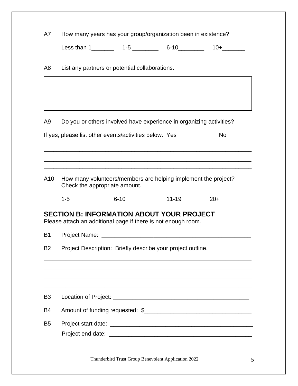| A7             | How many years has your group/organization been in existence?                                                                                                                                                                                                                                     |  |  |  |
|----------------|---------------------------------------------------------------------------------------------------------------------------------------------------------------------------------------------------------------------------------------------------------------------------------------------------|--|--|--|
|                |                                                                                                                                                                                                                                                                                                   |  |  |  |
| A8             | List any partners or potential collaborations.                                                                                                                                                                                                                                                    |  |  |  |
|                |                                                                                                                                                                                                                                                                                                   |  |  |  |
| A <sub>9</sub> | Do you or others involved have experience in organizing activities?                                                                                                                                                                                                                               |  |  |  |
|                | No control to the North State of the North State of the North State of the North State of the North State of the North State of the North State of the North State of the North State of the North State of the North State of<br>If yes, please list other events/activities below. Yes ________ |  |  |  |
|                | <u> 1989 - Johann Harry Barn, mars ar brening ar yn y brening yn y brening yn y brening y brening yn y brening y</u>                                                                                                                                                                              |  |  |  |
|                |                                                                                                                                                                                                                                                                                                   |  |  |  |
| A10            | How many volunteers/members are helping implement the project?<br>Check the appropriate amount.                                                                                                                                                                                                   |  |  |  |
|                | $1-5$ 6-10 11-19 20+                                                                                                                                                                                                                                                                              |  |  |  |
|                | <b>SECTION B: INFORMATION ABOUT YOUR PROJECT</b><br>Please attach an additional page if there is not enough room.                                                                                                                                                                                 |  |  |  |
| B <sub>1</sub> | Project Name: _                                                                                                                                                                                                                                                                                   |  |  |  |
| B <sub>2</sub> | Project Description: Briefly describe your project outline.                                                                                                                                                                                                                                       |  |  |  |
|                |                                                                                                                                                                                                                                                                                                   |  |  |  |
|                |                                                                                                                                                                                                                                                                                                   |  |  |  |
| B <sub>3</sub> |                                                                                                                                                                                                                                                                                                   |  |  |  |
| B4             |                                                                                                                                                                                                                                                                                                   |  |  |  |
| B <sub>5</sub> |                                                                                                                                                                                                                                                                                                   |  |  |  |
|                |                                                                                                                                                                                                                                                                                                   |  |  |  |

Thunderbird Trust Group Benevolent Application 2022 5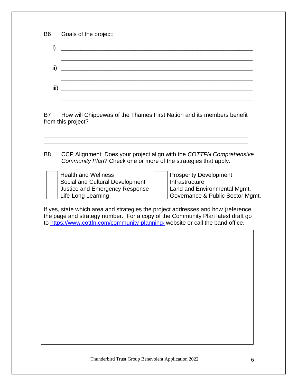| B6   | Goals of the project: |
|------|-----------------------|
| i)   |                       |
|      |                       |
| ii)  |                       |
|      |                       |
| iii) |                       |
|      |                       |

B7 How will Chippewas of the Thames First Nation and its members benefit from this project?

\_\_\_\_\_\_\_\_\_\_\_\_\_\_\_\_\_\_\_\_\_\_\_\_\_\_\_\_\_\_\_\_\_\_\_\_\_\_\_\_\_\_\_\_\_\_\_\_\_\_\_\_\_\_\_\_\_\_\_\_\_\_\_ \_\_\_\_\_\_\_\_\_\_\_\_\_\_\_\_\_\_\_\_\_\_\_\_\_\_\_\_\_\_\_\_\_\_\_\_\_\_\_\_\_\_\_\_\_\_\_\_\_\_\_\_\_\_\_\_\_\_\_\_\_\_\_

B8 CCP Alignment: Does your project align with the *COTTFN Comprehensive Community Plan*? Check one or more of the strategies that apply.

|  | <b>Health and Wellness</b>      | <b>Prosperity Development</b>    |
|--|---------------------------------|----------------------------------|
|  | Social and Cultural Development | Infrastructure                   |
|  | Justice and Emergency Response  | Land and Environmental Mgmt.     |
|  | Life-Long Learning              | Governance & Public Sector Mgmt. |

| Health and Wellness             | Prosperity Development         |
|---------------------------------|--------------------------------|
| Social and Cultural Development | Infrastructure                 |
| Justice and Emergency Response  | Land and Environmental Mgmt.   |
| Life-Long Learning              | Governance & Public Sector Mgr |

If yes, state which area and strategies the project addresses and how (reference the page and strategy number. For a copy of the Community Plan latest draft go to [https://www.cottfn.com/community-planning](https://www.cottfn.com/community-planning/)[/](https://www.cottfn.com/community-planning/) website or call the band office.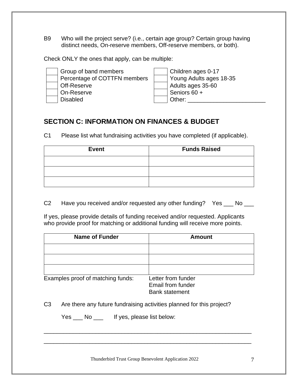B9 Who will the project serve? (i.e., certain age group? Certain group having distinct needs, On-reserve members, Off-reserve members, or both).

Check ONLY the ones that apply, can be multiple:

| Group of band members        | Children ages 0-17      |
|------------------------------|-------------------------|
| Percentage of COTTFN members | Young Adults ages 18-35 |
| Off-Reserve                  | Adults ages 35-60       |
| On-Reserve                   | Seniors 60 +            |
| <b>Disabled</b>              | Other:                  |

### **SECTION C: INFORMATION ON FINANCES & BUDGET**

C1 Please list what fundraising activities you have completed (if applicable).

| <b>Event</b> | <b>Funds Raised</b> |
|--------------|---------------------|
|              |                     |
|              |                     |
|              |                     |

C2 Have you received and/or requested any other funding? Yes \_\_\_ No \_\_\_

If yes, please provide details of funding received and/or requested. Applicants who provide proof for matching or additional funding will receive more points.

| <b>Name of Funder</b>             | <b>Amount</b>        |
|-----------------------------------|----------------------|
|                                   |                      |
|                                   |                      |
|                                   |                      |
| Examples pract of matching fundor | $l$ attarfram fundar |

Examples proof of matching funds: Letter from funder

Email from funder Bank statement

C3 Are there any future fundraising activities planned for this project?

Yes \_\_\_ No \_\_\_ If yes, please list below:

Thunderbird Trust Group Benevolent Application 2022 7

\_\_\_\_\_\_\_\_\_\_\_\_\_\_\_\_\_\_\_\_\_\_\_\_\_\_\_\_\_\_\_\_\_\_\_\_\_\_\_\_\_\_\_\_\_\_\_\_\_\_\_\_\_\_\_\_\_\_\_\_\_\_\_\_

\_\_\_\_\_\_\_\_\_\_\_\_\_\_\_\_\_\_\_\_\_\_\_\_\_\_\_\_\_\_\_\_\_\_\_\_\_\_\_\_\_\_\_\_\_\_\_\_\_\_\_\_\_\_\_\_\_\_\_\_\_\_\_\_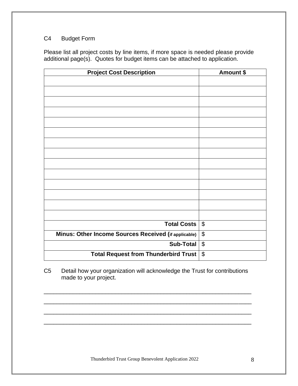#### C4 Budget Form

Please list all project costs by line items, if more space is needed please provide additional page(s). Quotes for budget items can be attached to application.

| <b>Project Cost Description</b>                      | Amount \$                 |
|------------------------------------------------------|---------------------------|
|                                                      |                           |
|                                                      |                           |
|                                                      |                           |
|                                                      |                           |
|                                                      |                           |
|                                                      |                           |
|                                                      |                           |
|                                                      |                           |
|                                                      |                           |
|                                                      |                           |
|                                                      |                           |
|                                                      |                           |
|                                                      |                           |
|                                                      |                           |
|                                                      |                           |
| <b>Total Costs</b>                                   | $\boldsymbol{\mathsf{S}}$ |
|                                                      |                           |
| Minus: Other Income Sources Received (if applicable) | $\overline{\mathbf{e}}$   |
| Sub-Total                                            | $\boldsymbol{\mathsf{S}}$ |
| <b>Total Request from Thunderbird Trust</b>          | $\overline{\mathcal{G}}$  |

C5 Detail how your organization will acknowledge the Trust for contributions made to your project.

\_\_\_\_\_\_\_\_\_\_\_\_\_\_\_\_\_\_\_\_\_\_\_\_\_\_\_\_\_\_\_\_\_\_\_\_\_\_\_\_\_\_\_\_\_\_\_\_\_\_\_\_\_\_\_\_\_\_\_\_\_\_\_\_

\_\_\_\_\_\_\_\_\_\_\_\_\_\_\_\_\_\_\_\_\_\_\_\_\_\_\_\_\_\_\_\_\_\_\_\_\_\_\_\_\_\_\_\_\_\_\_\_\_\_\_\_\_\_\_\_\_\_\_\_\_\_\_\_

\_\_\_\_\_\_\_\_\_\_\_\_\_\_\_\_\_\_\_\_\_\_\_\_\_\_\_\_\_\_\_\_\_\_\_\_\_\_\_\_\_\_\_\_\_\_\_\_\_\_\_\_\_\_\_\_\_\_\_\_\_\_\_\_

\_\_\_\_\_\_\_\_\_\_\_\_\_\_\_\_\_\_\_\_\_\_\_\_\_\_\_\_\_\_\_\_\_\_\_\_\_\_\_\_\_\_\_\_\_\_\_\_\_\_\_\_\_\_\_\_\_\_\_\_\_\_\_\_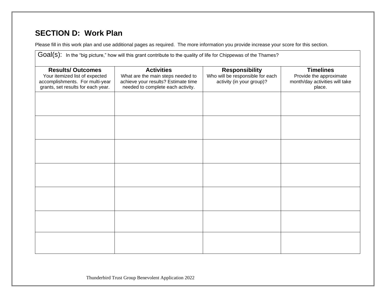## **SECTION D: Work Plan**

Please fill in this work plan and use additional pages as required. The more information you provide increase your score for this section.

| Goal(s): In the "big picture," how will this grant contribute to the quality of life for Chippewas of the Thames?                  |                                                                                                                                    |                                                                                        |                                                                                         |  |
|------------------------------------------------------------------------------------------------------------------------------------|------------------------------------------------------------------------------------------------------------------------------------|----------------------------------------------------------------------------------------|-----------------------------------------------------------------------------------------|--|
| <b>Results/Outcomes</b><br>Your itemized list of expected<br>accomplishments. For multi-year<br>grants, set results for each year. | <b>Activities</b><br>What are the main steps needed to<br>achieve your results? Estimate time<br>needed to complete each activity. | <b>Responsibility</b><br>Who will be responsible for each<br>activity (in your group)? | <b>Timelines</b><br>Provide the approximate<br>month/day activities will take<br>place. |  |
|                                                                                                                                    |                                                                                                                                    |                                                                                        |                                                                                         |  |
|                                                                                                                                    |                                                                                                                                    |                                                                                        |                                                                                         |  |
|                                                                                                                                    |                                                                                                                                    |                                                                                        |                                                                                         |  |
|                                                                                                                                    |                                                                                                                                    |                                                                                        |                                                                                         |  |
|                                                                                                                                    |                                                                                                                                    |                                                                                        |                                                                                         |  |
|                                                                                                                                    |                                                                                                                                    |                                                                                        |                                                                                         |  |
|                                                                                                                                    |                                                                                                                                    |                                                                                        |                                                                                         |  |

Thunderbird Trust Group Benevolent Application 2022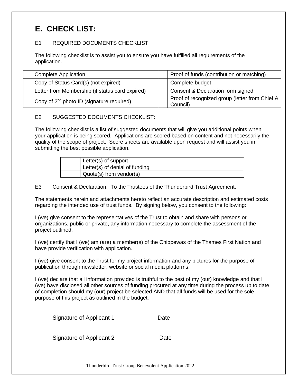# **E. CHECK LIST:**

#### E1 REQUIRED DOCUMENTS CHECKLIST:

The following checklist is to assist you to ensure you have fulfilled all requirements of the application.

| <b>Complete Application</b>                           | Proof of funds (contribution or matching)                    |
|-------------------------------------------------------|--------------------------------------------------------------|
| Copy of Status Card(s) (not expired)                  | Complete budget                                              |
| Letter from Membership (if status card expired)       | Consent & Declaration form signed                            |
| Copy of 2 <sup>nd</sup> photo ID (signature required) | Proof of recognized group (letter from Chief &  <br>Council) |

#### E2 SUGGESTED DOCUMENTS CHECKLIST:

The following checklist is a list of suggested documents that will give you additional points when your application is being scored. Applications are scored based on content and not necessarily the quality of the scope of project. Score sheets are available upon request and will assist you in submitting the best possible application.

| Letter(s) of support           |
|--------------------------------|
| Letter(s) of denial of funding |
| Quote(s) from vendor(s)        |

E3 Consent & Declaration: To the Trustees of the Thunderbird Trust Agreement:

The statements herein and attachments hereto reflect an accurate description and estimated costs regarding the intended use of trust funds. By signing below, you consent to the following:

I (we) give consent to the representatives of the Trust to obtain and share with persons or organizations, public or private, any information necessary to complete the assessment of the project outlined.

I (we) certify that I (we) am (are) a member(s) of the Chippewas of the Thames First Nation and have provide verification with application.

I (we) give consent to the Trust for my project information and any pictures for the purpose of publication through newsletter, website or social media platforms.

I (we) declare that all information provided is truthful to the best of my (our) knowledge and that I (we) have disclosed all other sources of funding procured at any time during the process up to date of completion should my (our) project be selected AND that all funds will be used for the sole purpose of this project as outlined in the budget.

Signature of Applicant 1 Date

Signature of Applicant 2 Date

\_\_\_\_\_\_\_\_\_\_\_\_\_\_\_\_\_\_\_\_\_\_\_\_\_\_\_\_\_ \_\_\_\_\_\_\_\_\_\_\_\_\_\_\_\_\_\_

\_\_\_\_\_\_\_\_\_\_\_\_\_\_\_\_\_\_\_\_\_\_\_\_\_\_\_\_\_ \_\_\_\_\_\_\_\_\_\_\_\_\_\_\_\_\_\_\_